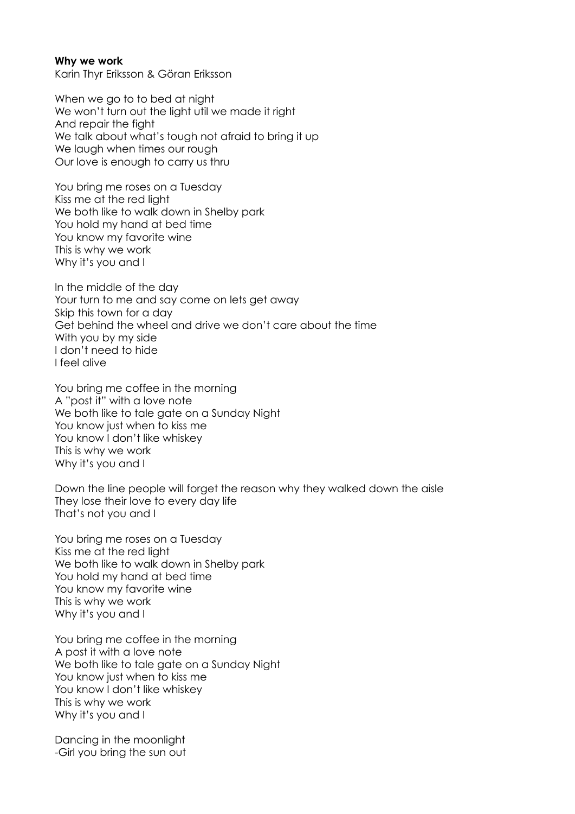## **Why we work**

Karin Thyr Eriksson & Göran Eriksson

When we go to to bed at night We won't turn out the light util we made it right And repair the fight We talk about what's tough not afraid to bring it up We laugh when times our rough Our love is enough to carry us thru

You bring me roses on a Tuesday Kiss me at the red light We both like to walk down in Shelby park You hold my hand at bed time You know my favorite wine This is why we work Why it's you and I

In the middle of the day Your turn to me and say come on lets get away Skip this town for a day Get behind the wheel and drive we don't care about the time With you by my side I don't need to hide I feel alive

You bring me coffee in the morning A "post it" with a love note We both like to tale gate on a Sunday Night You know just when to kiss me You know I don't like whiskey This is why we work Why it's you and I

Down the line people will forget the reason why they walked down the aisle They lose their love to every day life That's not you and I

You bring me roses on a Tuesday Kiss me at the red light We both like to walk down in Shelby park You hold my hand at bed time You know my favorite wine This is why we work Why it's you and I

You bring me coffee in the morning A post it with a love note We both like to tale gate on a Sunday Night You know just when to kiss me You know I don't like whiskey This is why we work Why it's you and I

Dancing in the moonlight -Girl you bring the sun out